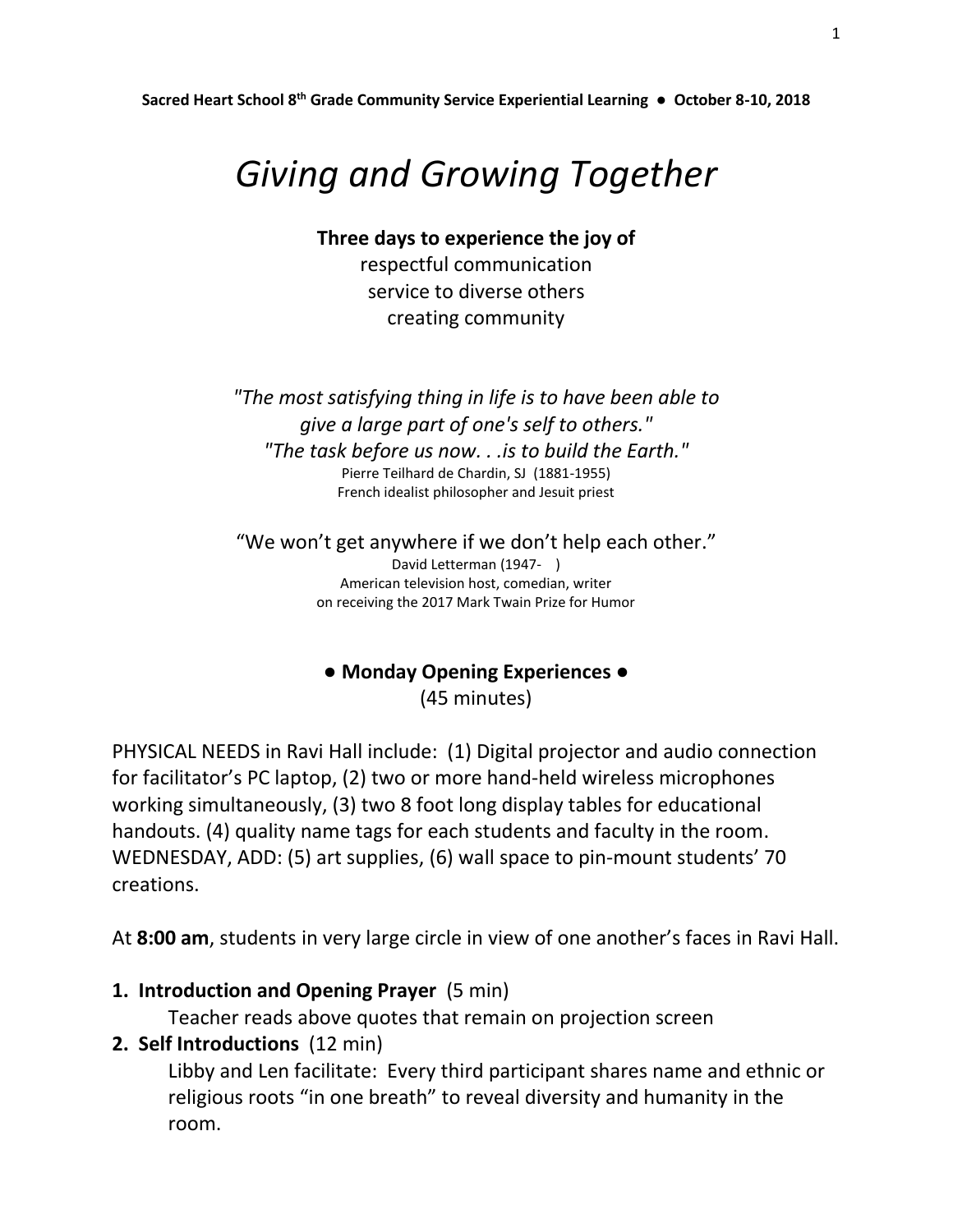**Sacred Heart School 8th Grade Community Service Experiential Learning ● October 8-10, 2018**

# *Giving and Growing Together*

**Three days to experience the joy of**

respectful communication service to diverse others creating community

*"The most satisfying thing in life is to have been able to give a large part of one's self to others." "The task before us now. . .is to build the Earth."* Pierre Teilhard de Chardin, SJ (1881-1955) French idealist philosopher and Jesuit priest

"We won't get anywhere if we don't help each other." David Letterman (1947- ) American television host, comedian, writer on receiving the 2017 Mark Twain Prize for Humor

## **● Monday Opening Experiences ●** (45 minutes)

PHYSICAL NEEDS in Ravi Hall include: (1) Digital projector and audio connection for facilitator's PC laptop, (2) two or more hand-held wireless microphones working simultaneously, (3) two 8 foot long display tables for educational handouts. (4) quality name tags for each students and faculty in the room. WEDNESDAY, ADD: (5) art supplies, (6) wall space to pin-mount students' 70 creations.

At **8:00 am**, students in very large circle in view of one another's faces in Ravi Hall.

**1. Introduction and Opening Prayer** (5 min)

Teacher reads above quotes that remain on projection screen

**2. Self Introductions** (12 min)

Libby and Len facilitate: Every third participant shares name and ethnic or religious roots "in one breath" to reveal diversity and humanity in the room.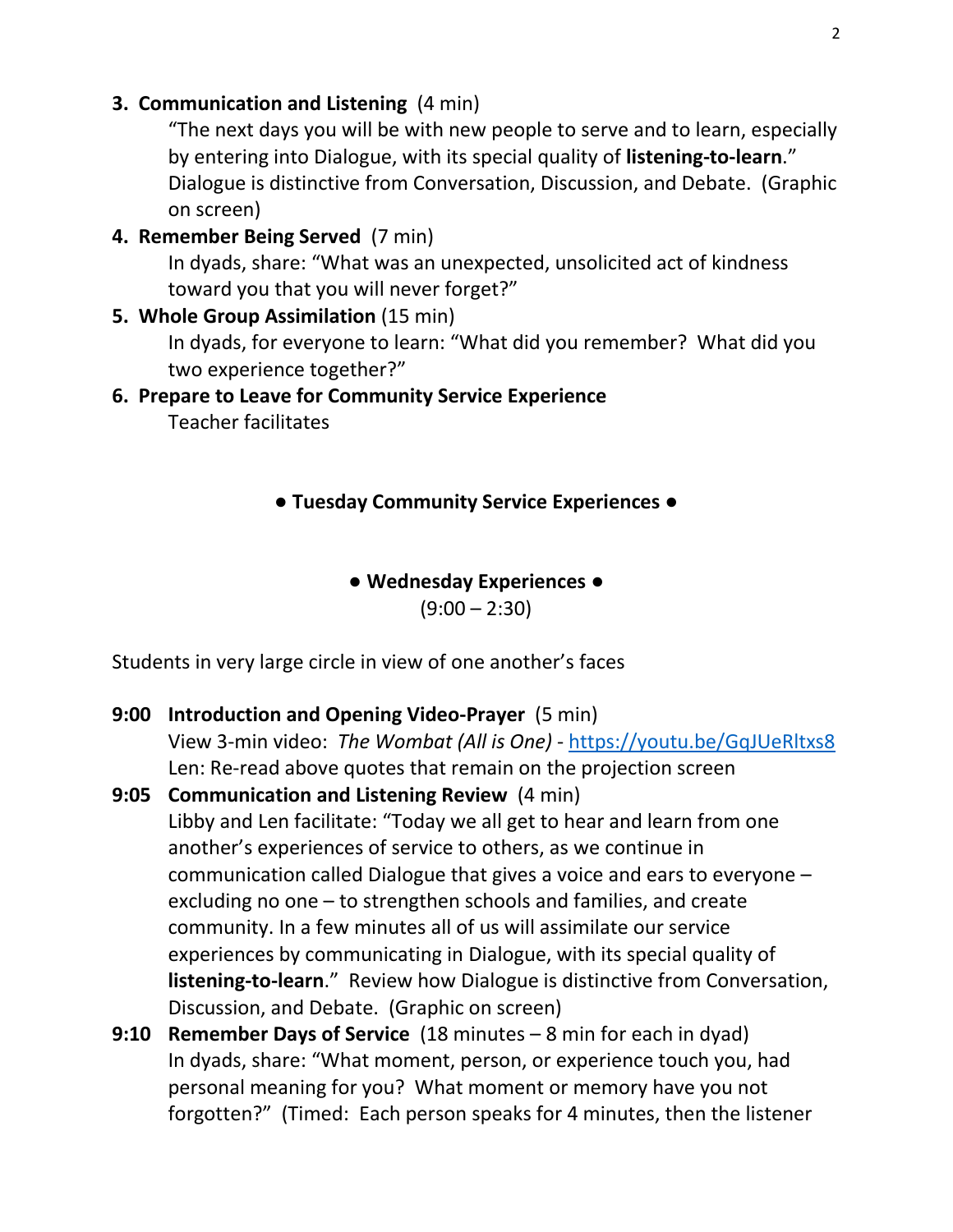#### **3. Communication and Listening** (4 min)

"The next days you will be with new people to serve and to learn, especially by entering into Dialogue, with its special quality of **listening-to-learn**." Dialogue is distinctive from Conversation, Discussion, and Debate. (Graphic on screen)

**4. Remember Being Served** (7 min)

In dyads, share: "What was an unexpected, unsolicited act of kindness toward you that you will never forget?"

**5. Whole Group Assimilation** (15 min)

In dyads, for everyone to learn: "What did you remember? What did you two experience together?"

### **6. Prepare to Leave for Community Service Experience**

Teacher facilitates

#### **● Tuesday Community Service Experiences ●**

#### **● Wednesday Experiences ●**

 $(9:00 - 2:30)$ 

Students in very large circle in view of one another's faces

- **9:00 Introduction and Opening Video-Prayer** (5 min) View 3-min video: *The Wombat (All is One)* - <https://youtu.be/GqJUeRltxs8> Len: Re-read above quotes that remain on the projection screen
- **9:05 Communication and Listening Review** (4 min) Libby and Len facilitate: "Today we all get to hear and learn from one another's experiences of service to others, as we continue in communication called Dialogue that gives a voice and ears to everyone – excluding no one – to strengthen schools and families, and create community. In a few minutes all of us will assimilate our service experiences by communicating in Dialogue, with its special quality of **listening-to-learn**." Review how Dialogue is distinctive from Conversation, Discussion, and Debate. (Graphic on screen)
- **9:10 Remember Days of Service** (18 minutes 8 min for each in dyad) In dyads, share: "What moment, person, or experience touch you, had personal meaning for you? What moment or memory have you not forgotten?" (Timed: Each person speaks for 4 minutes, then the listener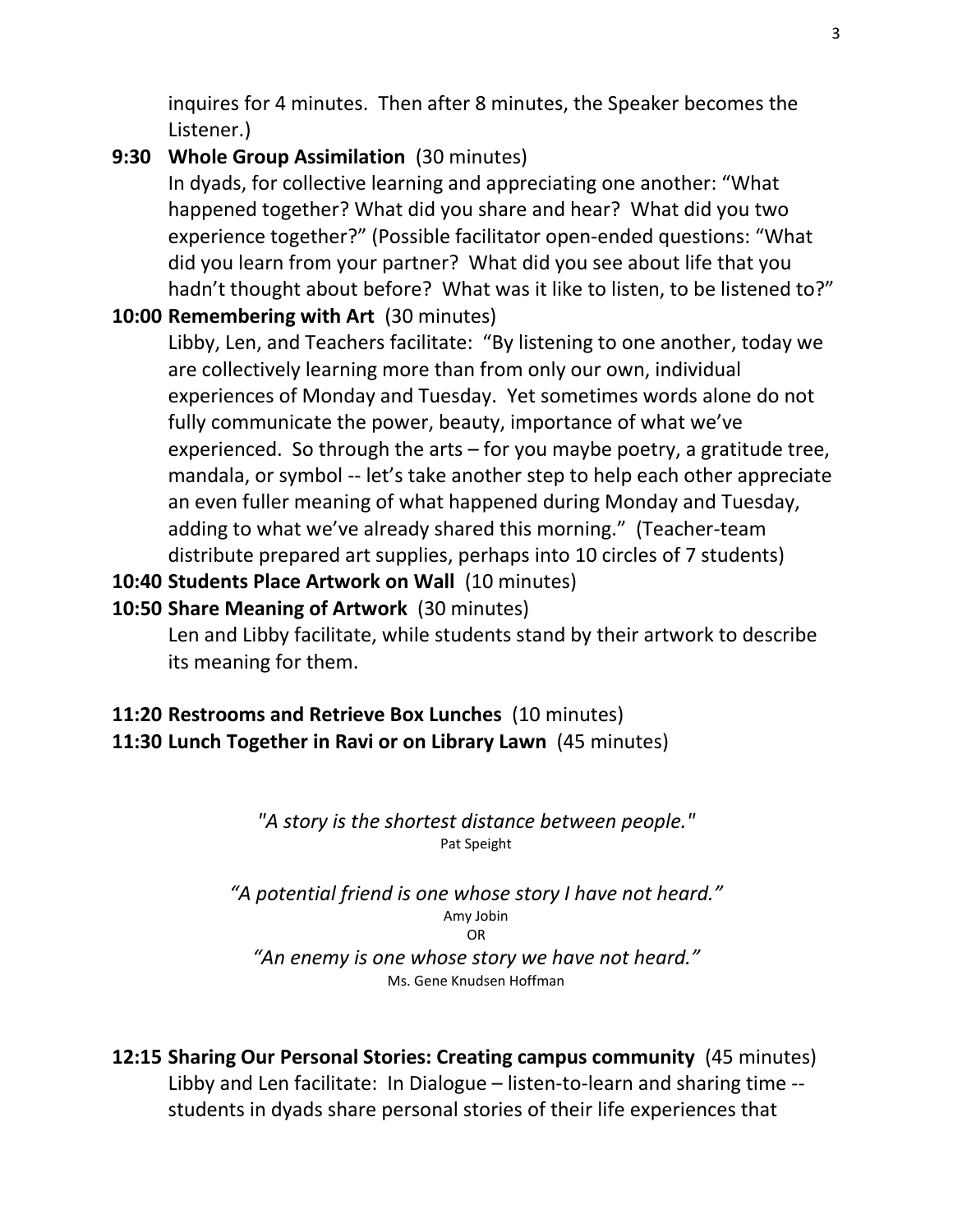inquires for 4 minutes. Then after 8 minutes, the Speaker becomes the Listener.)

## **9:30 Whole Group Assimilation** (30 minutes)

In dyads, for collective learning and appreciating one another: "What happened together? What did you share and hear? What did you two experience together?" (Possible facilitator open-ended questions: "What did you learn from your partner? What did you see about life that you hadn't thought about before? What was it like to listen, to be listened to?"

## **10:00 Remembering with Art** (30 minutes)

Libby, Len, and Teachers facilitate: "By listening to one another, today we are collectively learning more than from only our own, individual experiences of Monday and Tuesday. Yet sometimes words alone do not fully communicate the power, beauty, importance of what we've experienced. So through the arts – for you maybe poetry, a gratitude tree, mandala, or symbol -- let's take another step to help each other appreciate an even fuller meaning of what happened during Monday and Tuesday, adding to what we've already shared this morning." (Teacher-team distribute prepared art supplies, perhaps into 10 circles of 7 students)

## **10:40 Students Place Artwork on Wall** (10 minutes)

## **10:50 Share Meaning of Artwork** (30 minutes)

Len and Libby facilitate, while students stand by their artwork to describe its meaning for them.

#### **11:20 Restrooms and Retrieve Box Lunches** (10 minutes) **11:30 Lunch Together in Ravi or on Library Lawn** (45 minutes)

#### *"A story is the shortest distance between people."* Pat Speight

*"A potential friend is one whose story I have not heard."* Amy Jobin OR *"An enemy is one whose story we have not heard."*

#### Ms. Gene Knudsen Hoffman

## **12:15 Sharing Our Personal Stories: Creating campus community** (45 minutes) Libby and Len facilitate: In Dialogue – listen-to-learn and sharing time - students in dyads share personal stories of their life experiences that